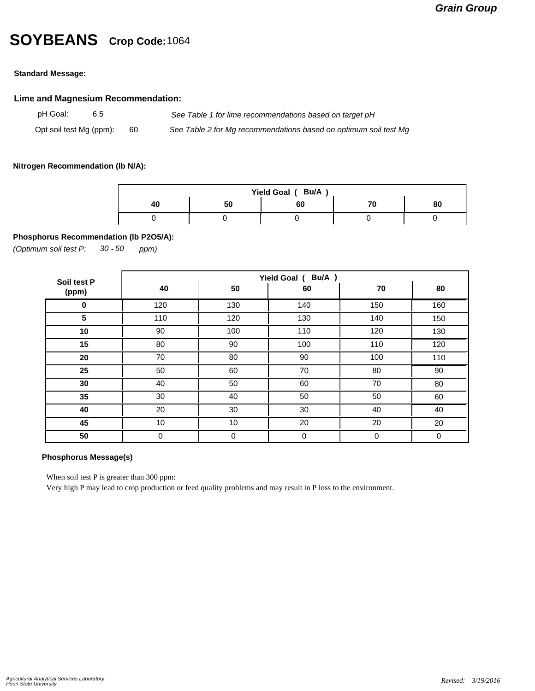## **SOYBEANS Crop Code:**<sup>1064</sup>

#### **Standard Message:**

#### **Lime and Magnesium Recommendation:**

pH Goal: 6.5 *See Table 1 for lime recommendations based on target pH* Opt soil test Mg (ppm): 60 *See Table 2 for Mg recommendations based on optimum soil test Mg*

#### **Nitrogen Recommendation (lb N/A):**

| Yield Goal (Bu/A) |    |    |  |    |  |  |  |  |
|-------------------|----|----|--|----|--|--|--|--|
|                   | 50 | 60 |  | 80 |  |  |  |  |
|                   |    |    |  |    |  |  |  |  |

#### **Phosphorus Recommendation (lb P2O5/A):**

*(Optimum soil test P: 30 ppm) - 50*

| Soil test P | Yield Goal ( Bu/A ) |             |     |     |     |  |  |
|-------------|---------------------|-------------|-----|-----|-----|--|--|
| (ppm)       | 40                  | 50          | 60  | 70  | 80  |  |  |
| 0           | 120                 | 130         | 140 | 150 | 160 |  |  |
| 5           | 110                 | 120         | 130 | 140 | 150 |  |  |
| 10          | 90                  | 100         | 110 | 120 | 130 |  |  |
| 15          | 80                  | 90          | 100 | 110 | 120 |  |  |
| 20          | 70                  | 80          | 90  | 100 | 110 |  |  |
| 25          | 50                  | 60          | 70  | 80  | 90  |  |  |
| 30          | 40                  | 50          | 60  | 70  | 80  |  |  |
| 35          | 30                  | 40          | 50  | 50  | 60  |  |  |
| 40          | 20                  | 30          | 30  | 40  | 40  |  |  |
| 45          | 10                  | 10          | 20  | 20  | 20  |  |  |
| 50          | $\mathbf 0$         | $\mathbf 0$ | 0   | 0   | 0   |  |  |

### **Phosphorus Message(s)**

When soil test P is greater than 300 ppm:

Very high P may lead to crop production or feed quality problems and may result in P loss to the environment.